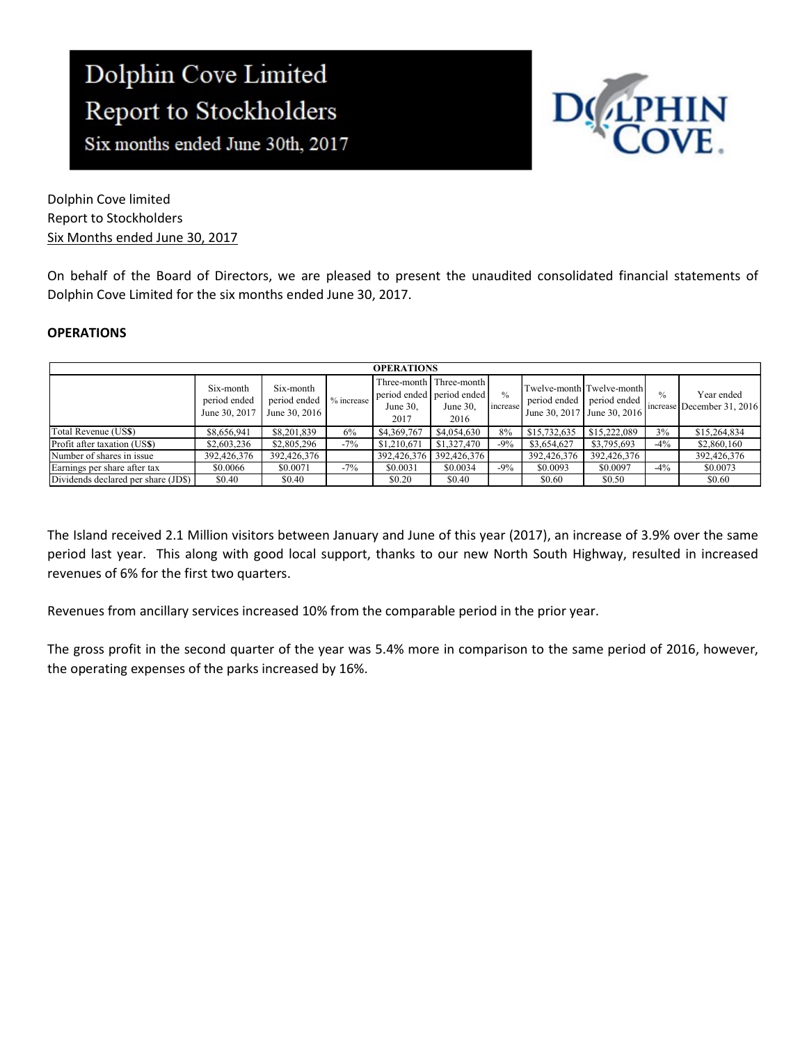Six months ended June 30th, 2017



Dolphin Cove limited Report to Stockholders Six Months ended June 30, 2017

On behalf of the Board of Directors, we are pleased to present the unaudited consolidated financial statements of Dolphin Cove Limited for the six months ended June 30, 2017.

## **OPERATIONS**

| <b>OPERATIONS</b>                   |                                            |                                            |              |                  |                                                                             |                           |              |                                                                          |               |                                          |
|-------------------------------------|--------------------------------------------|--------------------------------------------|--------------|------------------|-----------------------------------------------------------------------------|---------------------------|--------------|--------------------------------------------------------------------------|---------------|------------------------------------------|
|                                     | Six-month<br>period ended<br>June 30, 2017 | Six-month<br>period ended<br>June 30, 2016 | $%$ increase | June 30,<br>2017 | Three-month Three-month<br>period ended period ended<br>June $30$ ,<br>2016 | $\frac{0}{0}$<br>increase | period ended | Twelve-month Twelve-month<br>period ended<br>June 30, 2017 June 30, 2016 | $\frac{0}{0}$ | Year ended<br>increase December 31, 2016 |
| Total Revenue (US\$)                | \$8,656,941                                | \$8,201,839                                | 6%           | \$4,369,767      | \$4,054,630                                                                 | 8%                        | \$15,732,635 | \$15,222,089                                                             | 3%            | \$15,264,834                             |
| Profit after taxation (US\$)        | \$2,603,236                                | \$2,805,296                                | $-7\%$       | \$1,210,671      | \$1,327,470                                                                 | $-9%$                     | \$3,654,627  | \$3,795,693                                                              | $-4%$         | \$2,860,160                              |
| Number of shares in issue           | 392,426,376                                | 392,426,376                                |              | 392,426,376      | 392,426,376                                                                 |                           | 392,426,376  | 392,426,376                                                              |               | 392,426,376                              |
| Earnings per share after tax        | \$0.0066                                   | \$0.0071                                   | $-7\%$       | \$0.0031         | \$0.0034                                                                    | $-9\%$                    | \$0.0093     | \$0.0097                                                                 | $-4%$         | \$0.0073                                 |
| Dividends declared per share (JD\$) | \$0.40                                     | \$0.40                                     |              | \$0.20           | \$0.40                                                                      |                           | \$0.60       | \$0.50                                                                   |               | \$0.60                                   |

The Island received 2.1 Million visitors between January and June of this year (2017), an increase of 3.9% over the same period last year. This along with good local support, thanks to our new North South Highway, resulted in increased revenues of 6% for the first two quarters.

Revenues from ancillary services increased 10% from the comparable period in the prior year.

The gross profit in the second quarter of the year was 5.4% more in comparison to the same period of 2016, however, the operating expenses of the parks increased by 16%.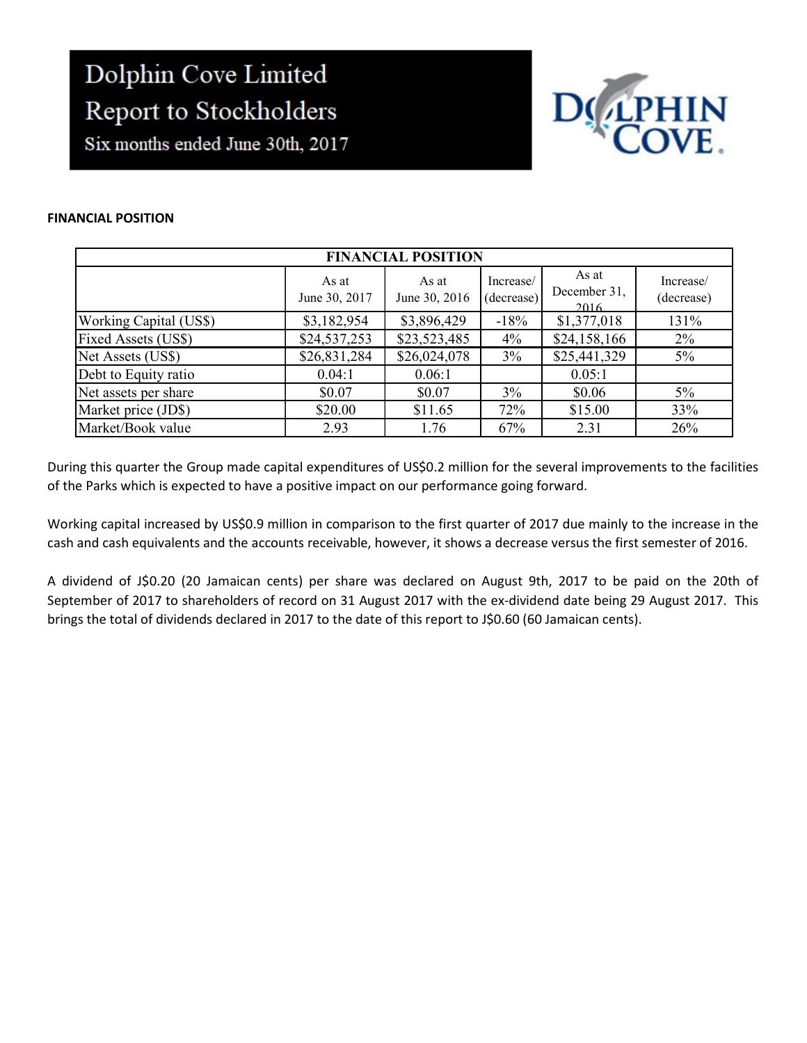Six months ended June 30th, 2017



#### FINANCIAL POSITION

| <b>FINANCIAL POSITION</b>     |                        |                        |                         |                               |                         |  |  |  |
|-------------------------------|------------------------|------------------------|-------------------------|-------------------------------|-------------------------|--|--|--|
|                               | As at<br>June 30, 2017 | As at<br>June 30, 2016 | Increase/<br>(decrease) | As at<br>December 31,<br>2016 | Increase/<br>(decrease) |  |  |  |
| <b>Working Capital (US\$)</b> | \$3,182,954            | \$3,896,429            | $-18%$                  | \$1,377,018                   | 131%                    |  |  |  |
| Fixed Assets (US\$)           | \$24,537,253           | \$23,523,485           | 4%                      | \$24,158,166                  | $2\%$                   |  |  |  |
| Net Assets (US\$)             | \$26,831,284           | \$26,024,078           | $3\%$                   | \$25,441,329                  | $5\%$                   |  |  |  |
| Debt to Equity ratio          | 0.04:1                 | 0.06:1                 |                         | 0.05:1                        |                         |  |  |  |
| Net assets per share          | \$0.07                 | \$0.07                 | 3%                      | \$0.06                        | $5\%$                   |  |  |  |
| Market price (JD\$)           | \$20.00                | \$11.65                | 72%                     | \$15.00                       | 33%                     |  |  |  |
| Market/Book value             | 2.93                   | 1.76                   | 67%                     | 2.31                          | 26%                     |  |  |  |

During this quarter the Group made capital expenditures of US\$0.2 million for the several improvements to the facilities of the Parks which is expected to have a positive impact on our performance going forward.

Working capital increased by US\$0.9 million in comparison to the first quarter of 2017 due mainly to the increase in the cash and cash equivalents and the accounts receivable, however, it shows a decrease versus the first semester of 2016.

A dividend of J\$0.20 (20 Jamaican cents) per share was declared on August 9th, 2017 to be paid on the 20th of September of 2017 to shareholders of record on 31 August 2017 with the ex-dividend date being 29 August 2017. This brings the total of dividends declared in 2017 to the date of this report to J\$0.60 (60 Jamaican cents).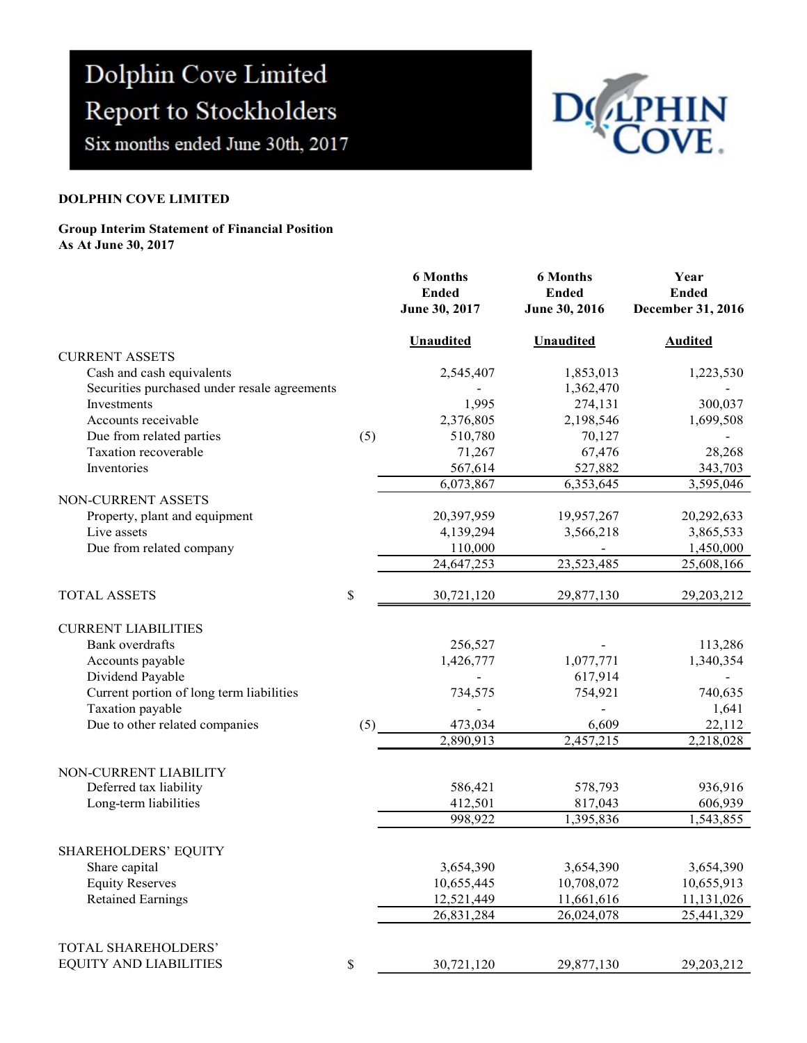Six months ended June 30th, 2017



#### DOLPHIN COVE LIMITED

#### Group Interim Statement of Financial Position As At June 30, 2017

|                                                                           |             | <b>6 Months</b><br><b>Ended</b><br>June 30, 2017 | <b>6 Months</b><br><b>Ended</b><br>June 30, 2016 | Year<br><b>Ended</b><br>December 31, 2016 |
|---------------------------------------------------------------------------|-------------|--------------------------------------------------|--------------------------------------------------|-------------------------------------------|
|                                                                           |             | <b>Unaudited</b>                                 | <b>Unaudited</b>                                 | <b>Audited</b>                            |
| <b>CURRENT ASSETS</b>                                                     |             |                                                  |                                                  |                                           |
| Cash and cash equivalents<br>Securities purchased under resale agreements |             | 2,545,407                                        | 1,853,013                                        | 1,223,530                                 |
| Investments                                                               |             | 1,995                                            | 1,362,470<br>274,131                             | 300,037                                   |
| Accounts receivable                                                       |             | 2,376,805                                        | 2,198,546                                        | 1,699,508                                 |
| Due from related parties                                                  | (5)         | 510,780                                          | 70,127                                           |                                           |
| Taxation recoverable                                                      |             | 71,267                                           | 67,476                                           | 28,268                                    |
| Inventories                                                               |             | 567,614                                          | 527,882                                          | 343,703                                   |
|                                                                           |             | 6,073,867                                        | 6,353,645                                        | 3,595,046                                 |
| NON-CURRENT ASSETS                                                        |             |                                                  |                                                  |                                           |
| Property, plant and equipment                                             |             | 20,397,959                                       | 19,957,267                                       | 20,292,633                                |
| Live assets                                                               |             | 4,139,294                                        | 3,566,218                                        | 3,865,533                                 |
| Due from related company                                                  |             | 110,000                                          |                                                  | 1,450,000                                 |
|                                                                           |             | 24,647,253                                       | 23,523,485                                       | 25,608,166                                |
| <b>TOTAL ASSETS</b>                                                       | \$          | 30,721,120                                       | 29,877,130                                       | 29,203,212                                |
| <b>CURRENT LIABILITIES</b>                                                |             |                                                  |                                                  |                                           |
| Bank overdrafts                                                           |             | 256,527                                          |                                                  | 113,286                                   |
| Accounts payable                                                          |             | 1,426,777                                        | 1,077,771                                        | 1,340,354                                 |
| Dividend Payable                                                          |             |                                                  | 617,914                                          |                                           |
| Current portion of long term liabilities                                  |             | 734,575                                          | 754,921                                          | 740,635                                   |
| Taxation payable                                                          |             |                                                  |                                                  | 1,641                                     |
| Due to other related companies                                            | (5)         | 473,034                                          | 6,609                                            | 22,112                                    |
|                                                                           |             | 2,890,913                                        | 2,457,215                                        | 2,218,028                                 |
|                                                                           |             |                                                  |                                                  |                                           |
| NON-CURRENT LIABILITY                                                     |             |                                                  |                                                  |                                           |
| Deferred tax liability                                                    |             | 586,421                                          | 578,793                                          | 936,916                                   |
| Long-term liabilities                                                     |             | 412,501                                          | 817,043                                          | 606,939                                   |
|                                                                           |             | 998,922                                          | 1,395,836                                        | 1,543,855                                 |
| SHAREHOLDERS' EQUITY                                                      |             |                                                  |                                                  |                                           |
| Share capital                                                             |             | 3,654,390                                        | 3,654,390                                        | 3,654,390                                 |
| <b>Equity Reserves</b>                                                    |             | 10,655,445                                       | 10,708,072                                       | 10,655,913                                |
| <b>Retained Earnings</b>                                                  |             | 12,521,449                                       | 11,661,616                                       | 11,131,026                                |
|                                                                           |             | 26,831,284                                       | 26,024,078                                       | 25,441,329                                |
| TOTAL SHAREHOLDERS'                                                       |             |                                                  |                                                  |                                           |
| <b>EQUITY AND LIABILITIES</b>                                             | $\mathbb S$ | 30,721,120                                       | 29,877,130                                       | 29,203,212                                |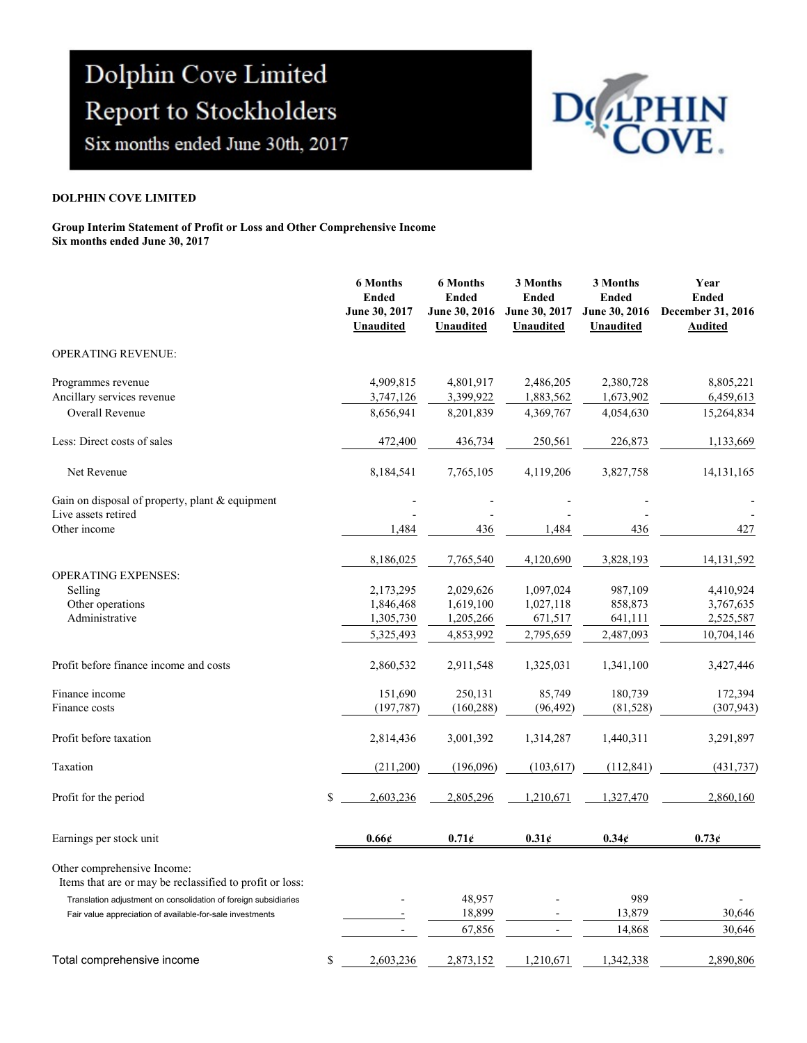Six months ended June 30th, 2017

#### DOLPHIN COVE LIMITED

Group Interim Statement of Profit or Loss and Other Comprehensive Income Six months ended June 30, 2017

|                                                                                         | <b>6 Months</b><br><b>Ended</b><br>June 30, 2017<br><b>Unaudited</b> | <b>6 Months</b><br><b>Ended</b><br>June 30, 2016<br><b>Unaudited</b> | 3 Months<br><b>Ended</b><br>June 30, 2017<br><b>Unaudited</b> | 3 Months<br><b>Ended</b><br>June 30, 2016<br><b>Unaudited</b> | Year<br><b>Ended</b><br>December 31, 2016<br><b>Audited</b> |
|-----------------------------------------------------------------------------------------|----------------------------------------------------------------------|----------------------------------------------------------------------|---------------------------------------------------------------|---------------------------------------------------------------|-------------------------------------------------------------|
| <b>OPERATING REVENUE:</b>                                                               |                                                                      |                                                                      |                                                               |                                                               |                                                             |
| Programmes revenue                                                                      | 4,909,815                                                            | 4,801,917                                                            | 2,486,205                                                     | 2,380,728                                                     | 8,805,221                                                   |
| Ancillary services revenue                                                              | 3,747,126                                                            | 3,399,922                                                            | 1,883,562                                                     | 1,673,902                                                     | 6,459,613                                                   |
| Overall Revenue                                                                         | 8,656,941                                                            | 8,201,839                                                            | 4,369,767                                                     | 4,054,630                                                     | 15,264,834                                                  |
| Less: Direct costs of sales                                                             | 472,400                                                              | 436,734                                                              | 250,561                                                       | 226,873                                                       | 1,133,669                                                   |
| Net Revenue                                                                             | 8,184,541                                                            | 7,765,105                                                            | 4,119,206                                                     | 3,827,758                                                     | 14, 131, 165                                                |
| Gain on disposal of property, plant & equipment<br>Live assets retired                  |                                                                      |                                                                      |                                                               |                                                               |                                                             |
| Other income                                                                            | 1,484                                                                | 436                                                                  | 1,484                                                         | 436                                                           | 427                                                         |
|                                                                                         |                                                                      |                                                                      |                                                               |                                                               |                                                             |
|                                                                                         | 8,186,025                                                            | 7,765,540                                                            | 4,120,690                                                     | 3,828,193                                                     | 14, 131, 592                                                |
| <b>OPERATING EXPENSES:</b>                                                              |                                                                      |                                                                      |                                                               |                                                               |                                                             |
| Selling                                                                                 | 2,173,295                                                            | 2,029,626                                                            | 1,097,024                                                     | 987,109                                                       | 4,410,924                                                   |
| Other operations                                                                        | 1,846,468                                                            | 1,619,100                                                            | 1,027,118                                                     | 858,873                                                       | 3,767,635                                                   |
| Administrative                                                                          | 1,305,730                                                            | 1,205,266                                                            | 671,517                                                       | 641,111                                                       | 2,525,587                                                   |
|                                                                                         | 5,325,493                                                            | 4,853,992                                                            | 2,795,659                                                     | 2,487,093                                                     | 10,704,146                                                  |
| Profit before finance income and costs                                                  | 2,860,532                                                            | 2,911,548                                                            | 1,325,031                                                     | 1,341,100                                                     | 3,427,446                                                   |
| Finance income                                                                          | 151,690                                                              | 250,131                                                              | 85,749                                                        | 180,739                                                       | 172,394                                                     |
| Finance costs                                                                           | (197, 787)                                                           | (160, 288)                                                           | (96, 492)                                                     | (81, 528)                                                     | (307, 943)                                                  |
|                                                                                         |                                                                      |                                                                      |                                                               |                                                               |                                                             |
| Profit before taxation                                                                  | 2,814,436                                                            | 3,001,392                                                            | 1,314,287                                                     | 1,440,311                                                     | 3,291,897                                                   |
| Taxation                                                                                | (211,200)                                                            | (196,096)                                                            | (103, 617)                                                    | (112, 841)                                                    | (431, 737)                                                  |
| Profit for the period                                                                   | \$<br>2,603,236                                                      | 2,805,296                                                            | 1,210,671                                                     | 1,327,470                                                     | 2,860,160                                                   |
| Earnings per stock unit                                                                 | 0.66¢                                                                | 0.71c                                                                | $0.31\epsilon$                                                | 0.34c                                                         | 0.73c                                                       |
| Other comprehensive Income:<br>Items that are or may be reclassified to profit or loss: |                                                                      |                                                                      |                                                               |                                                               |                                                             |
| Translation adjustment on consolidation of foreign subsidiaries                         |                                                                      | 48,957                                                               |                                                               | 989                                                           |                                                             |
| Fair value appreciation of available-for-sale investments                               |                                                                      | 18,899                                                               |                                                               | 13,879                                                        | 30,646                                                      |
|                                                                                         |                                                                      | 67,856                                                               |                                                               | 14,868                                                        | 30,646                                                      |
| Total comprehensive income                                                              | \$<br>2,603,236                                                      | 2,873,152                                                            | 1,210,671                                                     | 1,342,338                                                     | 2,890,806                                                   |

**DOCLPHIN**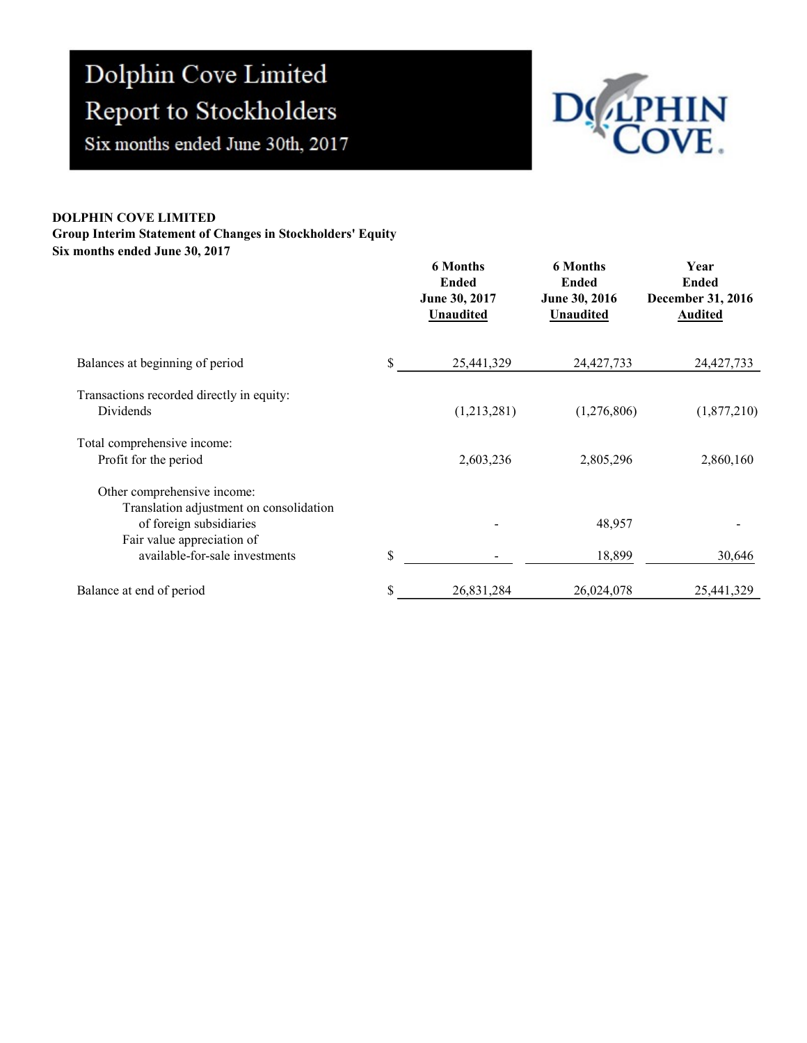Six months ended June 30th, 2017



#### DOLPHIN COVE LIMITED

Group Interim Statement of Changes in Stockholders' Equity

Six months ended June 30, 2017

|                                                                                                                                 |    | <b>6 Months</b><br><b>Ended</b><br>June 30, 2017<br>Unaudited | <b>6 Months</b><br><b>Ended</b><br>June 30, 2016<br><b>Unaudited</b> | Year<br><b>Ended</b><br>December 31, 2016<br><b>Audited</b> |
|---------------------------------------------------------------------------------------------------------------------------------|----|---------------------------------------------------------------|----------------------------------------------------------------------|-------------------------------------------------------------|
| Balances at beginning of period                                                                                                 | S  | 25,441,329                                                    | 24,427,733                                                           | 24,427,733                                                  |
| Transactions recorded directly in equity:<br>Dividends                                                                          |    | (1,213,281)                                                   | (1,276,806)                                                          | (1,877,210)                                                 |
| Total comprehensive income:<br>Profit for the period                                                                            |    | 2,603,236                                                     | 2,805,296                                                            | 2,860,160                                                   |
| Other comprehensive income:<br>Translation adjustment on consolidation<br>of foreign subsidiaries<br>Fair value appreciation of |    |                                                               | 48,957                                                               |                                                             |
| available-for-sale investments                                                                                                  | \$ |                                                               | 18,899                                                               | 30,646                                                      |
| Balance at end of period                                                                                                        | \$ | 26,831,284                                                    | 26,024,078                                                           | 25,441,329                                                  |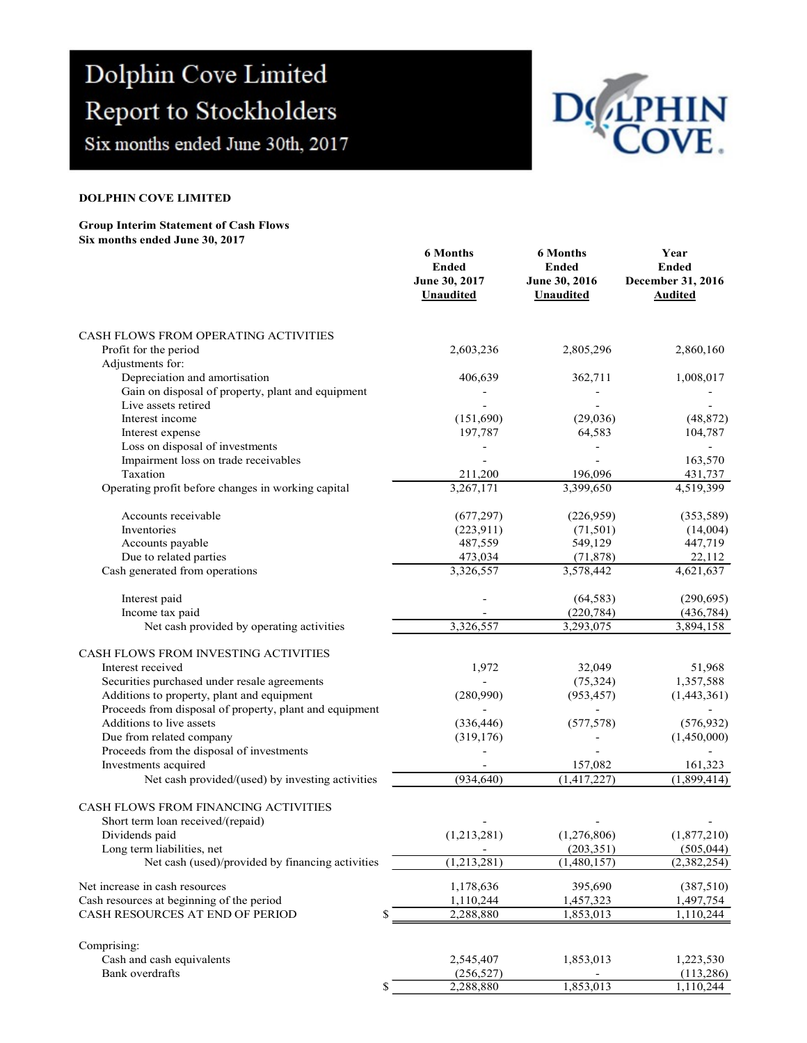Six months ended June 30th, 2017



#### DOLPHIN COVE LIMITED

#### Group Interim Statement of Cash Flows Six months ended June 30, 2017

|                                                         | <b>6 Months</b><br><b>Ended</b><br>June 30, 2017<br><b>Unaudited</b> | <b>6 Months</b><br><b>Ended</b><br>June 30, 2016<br><b>Unaudited</b> | Year<br><b>Ended</b><br>December 31, 2016<br>Audited |
|---------------------------------------------------------|----------------------------------------------------------------------|----------------------------------------------------------------------|------------------------------------------------------|
| CASH FLOWS FROM OPERATING ACTIVITIES                    |                                                                      |                                                                      |                                                      |
| Profit for the period                                   | 2,603,236                                                            | 2,805,296                                                            | 2,860,160                                            |
| Adjustments for:                                        |                                                                      |                                                                      |                                                      |
| Depreciation and amortisation                           | 406,639                                                              | 362,711                                                              | 1,008,017                                            |
| Gain on disposal of property, plant and equipment       |                                                                      |                                                                      |                                                      |
| Live assets retired                                     |                                                                      |                                                                      |                                                      |
| Interest income                                         | (151,690)                                                            | (29,036)                                                             | (48, 872)                                            |
| Interest expense                                        | 197,787                                                              | 64,583                                                               | 104,787                                              |
| Loss on disposal of investments                         |                                                                      |                                                                      |                                                      |
| Impairment loss on trade receivables                    |                                                                      |                                                                      | 163,570                                              |
| Taxation                                                | 211,200                                                              | 196,096                                                              | 431,737                                              |
| Operating profit before changes in working capital      | 3,267,171                                                            | 3,399,650                                                            | 4,519,399                                            |
| Accounts receivable                                     | (677, 297)                                                           | (226,959)                                                            | (353,589)                                            |
| Inventories                                             | (223, 911)                                                           | (71,501)                                                             | (14,004)                                             |
| Accounts payable                                        | 487,559                                                              | 549,129                                                              | 447,719                                              |
| Due to related parties                                  | 473,034                                                              | (71, 878)                                                            | 22,112                                               |
| Cash generated from operations                          | 3,326,557                                                            | 3,578,442                                                            | 4,621,637                                            |
| Interest paid                                           |                                                                      | (64, 583)                                                            | (290, 695)                                           |
| Income tax paid                                         |                                                                      | (220, 784)                                                           | (436, 784)                                           |
| Net cash provided by operating activities               | 3,326,557                                                            | 3,293,075                                                            | 3,894,158                                            |
| CASH FLOWS FROM INVESTING ACTIVITIES                    |                                                                      |                                                                      |                                                      |
| Interest received                                       | 1,972                                                                | 32,049                                                               | 51,968                                               |
| Securities purchased under resale agreements            |                                                                      | (75, 324)                                                            | 1,357,588                                            |
| Additions to property, plant and equipment              | (280,990)                                                            | (953, 457)                                                           | (1,443,361)                                          |
| Proceeds from disposal of property, plant and equipment |                                                                      |                                                                      |                                                      |
| Additions to live assets                                | (336, 446)                                                           | (577, 578)                                                           | (576, 932)                                           |
| Due from related company                                | (319, 176)                                                           |                                                                      | (1,450,000)                                          |
| Proceeds from the disposal of investments               | ÷,                                                                   |                                                                      |                                                      |
| Investments acquired                                    |                                                                      | 157,082                                                              | 161,323                                              |
| Net cash provided/(used) by investing activities        | (934, 640)                                                           |                                                                      |                                                      |
|                                                         |                                                                      | (1,417,227)                                                          | (1,899,414)                                          |
| CASH FLOWS FROM FINANCING ACTIVITIES                    |                                                                      |                                                                      |                                                      |
| Short term loan received/(repaid)                       |                                                                      |                                                                      |                                                      |
| Dividends paid                                          | (1,213,281)                                                          | (1,276,806)                                                          | (1,877,210)                                          |
| Long term liabilities, net                              |                                                                      | (203, 351)                                                           | (505, 044)                                           |
| Net cash (used)/provided by financing activities        | (1,213,281)                                                          | (1,480,157)                                                          | (2,382,254)                                          |
| Net increase in cash resources                          | 1,178,636                                                            | 395,690                                                              | (387,510)                                            |
| Cash resources at beginning of the period               | 1,110,244                                                            | 1,457,323                                                            | 1,497,754                                            |
| CASH RESOURCES AT END OF PERIOD<br>\$                   | 2,288,880                                                            | 1,853,013                                                            | 1,110,244                                            |
|                                                         |                                                                      |                                                                      |                                                      |
| Comprising:                                             |                                                                      |                                                                      |                                                      |
| Cash and cash equivalents                               | 2,545,407                                                            | 1,853,013                                                            | 1,223,530                                            |
| Bank overdrafts<br>\$                                   | (256, 527)<br>2,288,880                                              | 1,853,013                                                            | (113, 286)<br>1,110,244                              |
|                                                         |                                                                      |                                                                      |                                                      |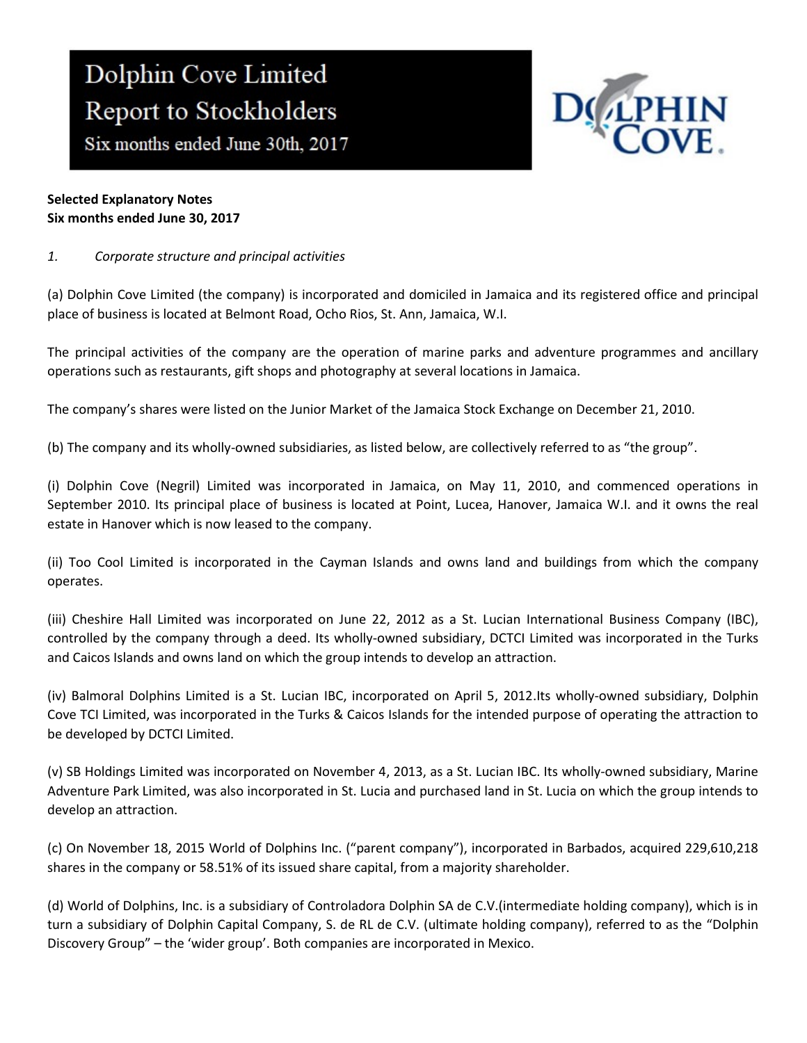Six months ended June 30th, 2017



## Selected Explanatory Notes Six months ended June 30, 2017

## 1. Corporate structure and principal activities

(a) Dolphin Cove Limited (the company) is incorporated and domiciled in Jamaica and its registered office and principal place of business is located at Belmont Road, Ocho Rios, St. Ann, Jamaica, W.I.

The principal activities of the company are the operation of marine parks and adventure programmes and ancillary operations such as restaurants, gift shops and photography at several locations in Jamaica.

The company's shares were listed on the Junior Market of the Jamaica Stock Exchange on December 21, 2010.

(b) The company and its wholly-owned subsidiaries, as listed below, are collectively referred to as "the group".

(i) Dolphin Cove (Negril) Limited was incorporated in Jamaica, on May 11, 2010, and commenced operations in September 2010. Its principal place of business is located at Point, Lucea, Hanover, Jamaica W.I. and it owns the real estate in Hanover which is now leased to the company.

(ii) Too Cool Limited is incorporated in the Cayman Islands and owns land and buildings from which the company operates.

(iii) Cheshire Hall Limited was incorporated on June 22, 2012 as a St. Lucian International Business Company (IBC), controlled by the company through a deed. Its wholly-owned subsidiary, DCTCI Limited was incorporated in the Turks and Caicos Islands and owns land on which the group intends to develop an attraction.

(iv) Balmoral Dolphins Limited is a St. Lucian IBC, incorporated on April 5, 2012.Its wholly-owned subsidiary, Dolphin Cove TCI Limited, was incorporated in the Turks & Caicos Islands for the intended purpose of operating the attraction to be developed by DCTCI Limited.

(v) SB Holdings Limited was incorporated on November 4, 2013, as a St. Lucian IBC. Its wholly-owned subsidiary, Marine Adventure Park Limited, was also incorporated in St. Lucia and purchased land in St. Lucia on which the group intends to develop an attraction.

(c) On November 18, 2015 World of Dolphins Inc. ("parent company"), incorporated in Barbados, acquired 229,610,218 shares in the company or 58.51% of its issued share capital, from a majority shareholder.

(d) World of Dolphins, Inc. is a subsidiary of Controladora Dolphin SA de C.V.(intermediate holding company), which is in turn a subsidiary of Dolphin Capital Company, S. de RL de C.V. (ultimate holding company), referred to as the "Dolphin Discovery Group" – the 'wider group'. Both companies are incorporated in Mexico.